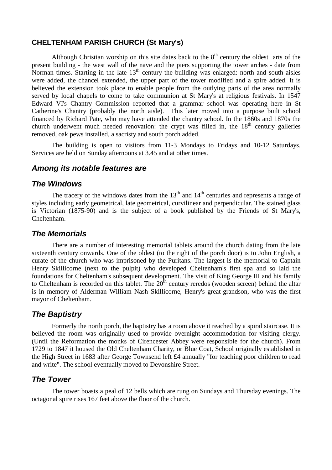#### **CHELTENHAM PARISH CHURCH (St Mary's)**

Although Christian worship on this site dates back to the  $8<sup>th</sup>$  century the oldest arts of the present building - the west wall of the nave and the piers supporting the tower arches - date from Norman times. Starting in the late  $13<sup>th</sup>$  century the building was enlarged: north and south aisles were added, the chancel extended, the upper part of the tower modified and a spire added. It is believed the extension took place to enable people from the outlying parts of the area normally served by local chapels to come to take communion at St Mary's at religious festivals. In 1547 Edward VI's Chantry Commission reported that a grammar school was operating here in St Catherine's Chantry (probably the north aisle). This later moved into a purpose built school financed by Richard Pate, who may have attended the chantry school. In the 1860s and 1870s the church underwent much needed renovation: the crypt was filled in, the 18<sup>th</sup> century galleries removed, oak pews installed, a sacristy and south porch added.

The building is open to visitors from 11-3 Mondays to Fridays and 10-12 Saturdays. Services are held on Sunday afternoons at 3.45 and at other times.

#### **Among its notable features are**

#### **The Windows**

The tracery of the windows dates from the  $13<sup>th</sup>$  and  $14<sup>th</sup>$  centuries and represents a range of styles including early geometrical, late geometrical, curvilinear and perpendicular. The stained glass is Victorian (1875-90) and is the subject of a book published by the Friends of St Mary's, Cheltenham.

#### **The Memorials**

There are a number of interesting memorial tablets around the church dating from the late sixteenth century onwards. One of the oldest (to the right of the porch door) is to John English, a curate of the church who was imprisoned by the Puritans. The largest is the memorial to Captain Henry Skillicorne (next to the pulpit) who developed Cheltenham's first spa and so laid the foundations for Cheltenham's subsequent development. The visit of King George III and his family to Cheltenham is recorded on this tablet. The  $20<sup>th</sup>$  century reredos (wooden screen) behind the altar is in memory of Alderman William Nash Skillicorne, Henry's great-grandson, who was the first mayor of Cheltenham.

### **The Baptistry**

Formerly the north porch, the baptistry has a room above it reached by a spiral staircase. It is believed the room was originally used to provide overnight accommodation for visiting clergy. (Until the Reformation the monks of Cirencester Abbey were responsible for the church). From 1729 to 1847 it housed the Old Cheltenham Charity, or Blue Coat, School originally established in the High Street in 1683 after George Townsend left £4 annually "for teaching poor children to read and write". The school eventually moved to Devonshire Street.

## **The Tower**

The tower boasts a peal of 12 bells which are rung on Sundays and Thursday evenings. The octagonal spire rises 167 feet above the floor of the church.